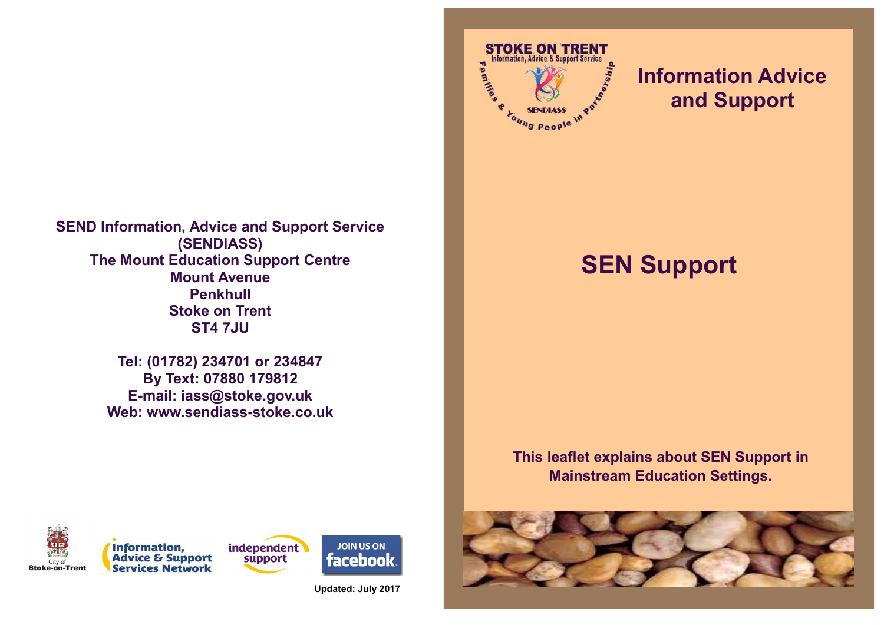

**Tel: (01782) 234701 or 234847 By Text: 07880 179812 E-mail: iass@stoke.gov.uk Web: www.sendiass-stoke.co.uk**



## **Information Advice and Support**

# **SEN Support**

## **This leaflet explains about SEN Support in Mainstream Education Settings.**







**Updated: July 2017**

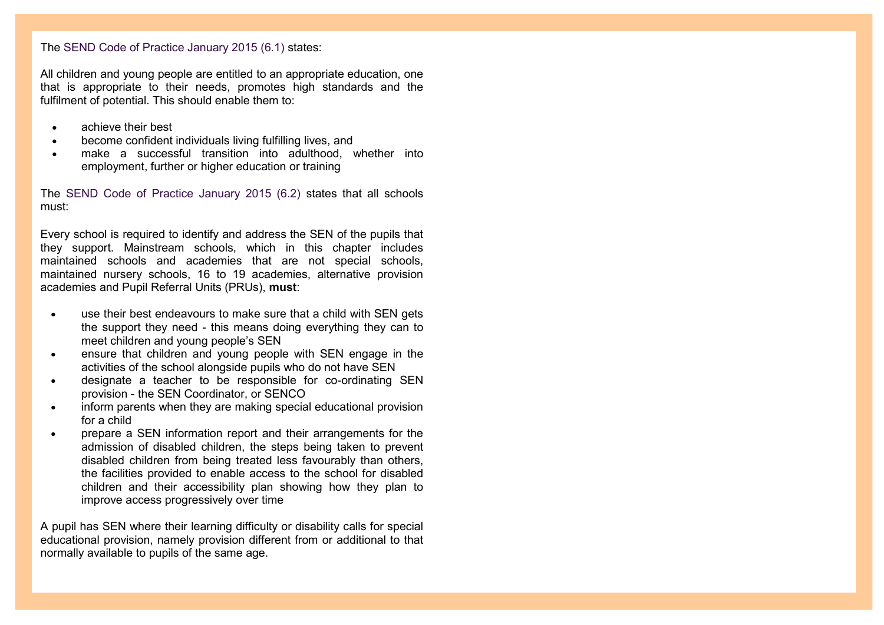## The SEND Code of Practice January 2015 (6.1) states:

All children and young people are entitled to an appropriate education, one that is appropriate to their needs, promotes high standards and the fulfilment of potential. This should enable them to:

- achieve their best
- become confident individuals living fulfilling lives, and
- make a successful transition into adulthood, whether into employment, further or higher education or training

The SEND Code of Practice January 2015 (6.2) states that all schools must:

Every school is required to identify and address the SEN of the pupils that they support. Mainstream schools, which in this chapter includes maintained schools and academies that are not special schools, maintained nursery schools, 16 to 19 academies, alternative provision academies and Pupil Referral Units (PRUs), **must**:

- use their best endeavours to make sure that a child with SEN gets the support they need - this means doing everything they can to meet children and young people's SEN
- ensure that children and young people with SEN engage in the activities of the school alongside pupils who do not have SEN
- designate a teacher to be responsible for co-ordinating SEN provision - the SEN Coordinator, or SENCO
- inform parents when they are making special educational provision for a child
- prepare a SEN information report and their arrangements for the admission of disabled children, the steps being taken to prevent disabled children from being treated less favourably than others, the facilities provided to enable access to the school for disabled children and their accessibility plan showing how they plan to improve access progressively over time

A pupil has SEN where their learning difficulty or disability calls for special educational provision, namely provision different from or additional to that normally available to pupils of the same age.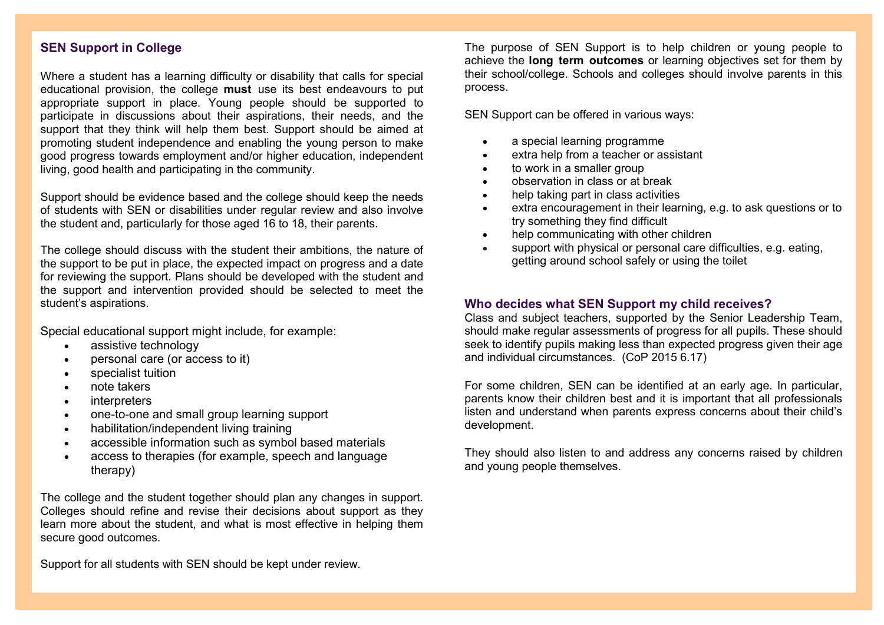## **SEN Support in College**

Where a student has a learning difficulty or disability that calls for special educational provision, the college **must** use its best endeavours to put appropriate support in place. Young people should be supported to participate in discussions about their aspirations, their needs, and the support that they think will help them best. Support should be aimed at promoting student independence and enabling the young person to make good progress towards employment and/or higher education, independent living, good health and participating in the community.

Support should be evidence based and the college should keep the needs of students with SEN or disabilities under regular review and also involve the student and, particularly for those aged 16 to 18, their parents.

The college should discuss with the student their ambitions, the nature of the support to be put in place, the expected impact on progress and a date for reviewing the support. Plans should be developed with the student and the support and intervention provided should be selected to meet the student's aspirations.

Special educational support might include, for example:

- assistive technology
- personal care (or access to it)
- specialist tuition
- note takers
- interpreters
- one-to-one and small group learning support
- habilitation/independent living training
- accessible information such as symbol based materials
- access to therapies (for example, speech and language therapy)

The college and the student together should plan any changes in support. Colleges should refine and revise their decisions about support as they learn more about the student, and what is most effective in helping them secure good outcomes.

Support for all students with SEN should be kept under review.

The purpose of SEN Support is to help children or young people to achieve the **long term outcomes** or learning objectives set for them by their school/college. Schools and colleges should involve parents in this process.

SEN Support can be offered in various ways:

- a special learning programme
- extra help from a teacher or assistant
- to work in a smaller group
- observation in class or at break
- help taking part in class activities
- extra encouragement in their learning, e.g. to ask questions or to try something they find difficult
- help communicating with other children
- support with physical or personal care difficulties, e.g. eating, getting around school safely or using the toilet

## **Who decides what SEN Support my child receives?**

Class and subject teachers, supported by the Senior Leadership Team, should make regular assessments of progress for all pupils. These should seek to identify pupils making less than expected progress given their age and individual circumstances. (CoP 2015 6.17)

For some children, SEN can be identified at an early age. In particular, parents know their children best and it is important that all professionals listen and understand when parents express concerns about their child's development.

They should also listen to and address any concerns raised by children and young people themselves.